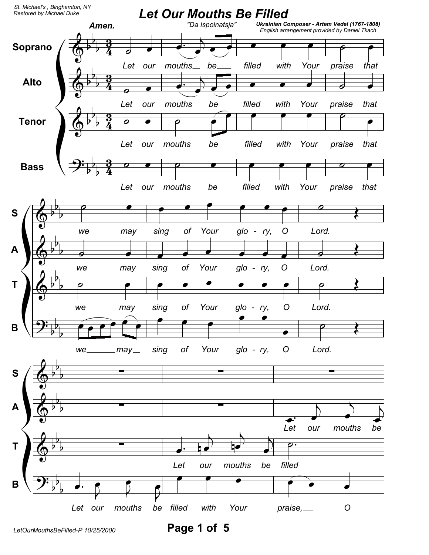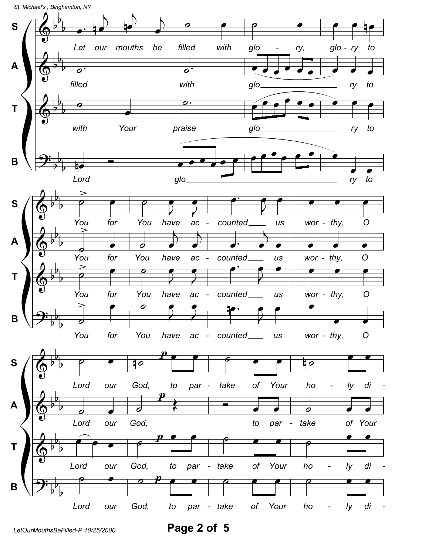

Page 2 of 5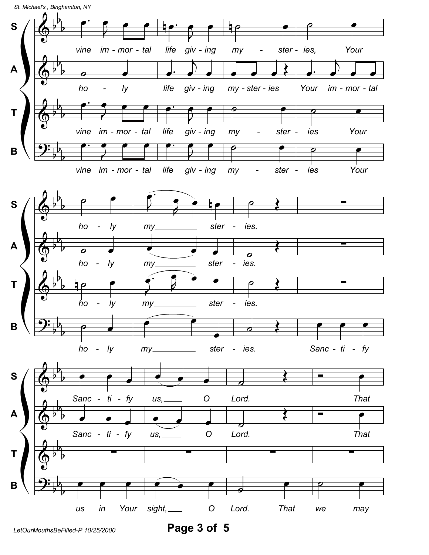

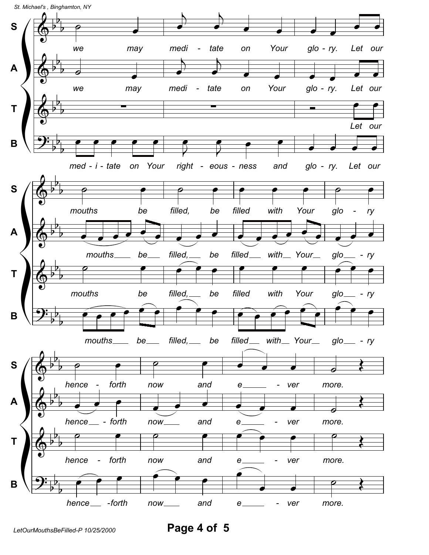